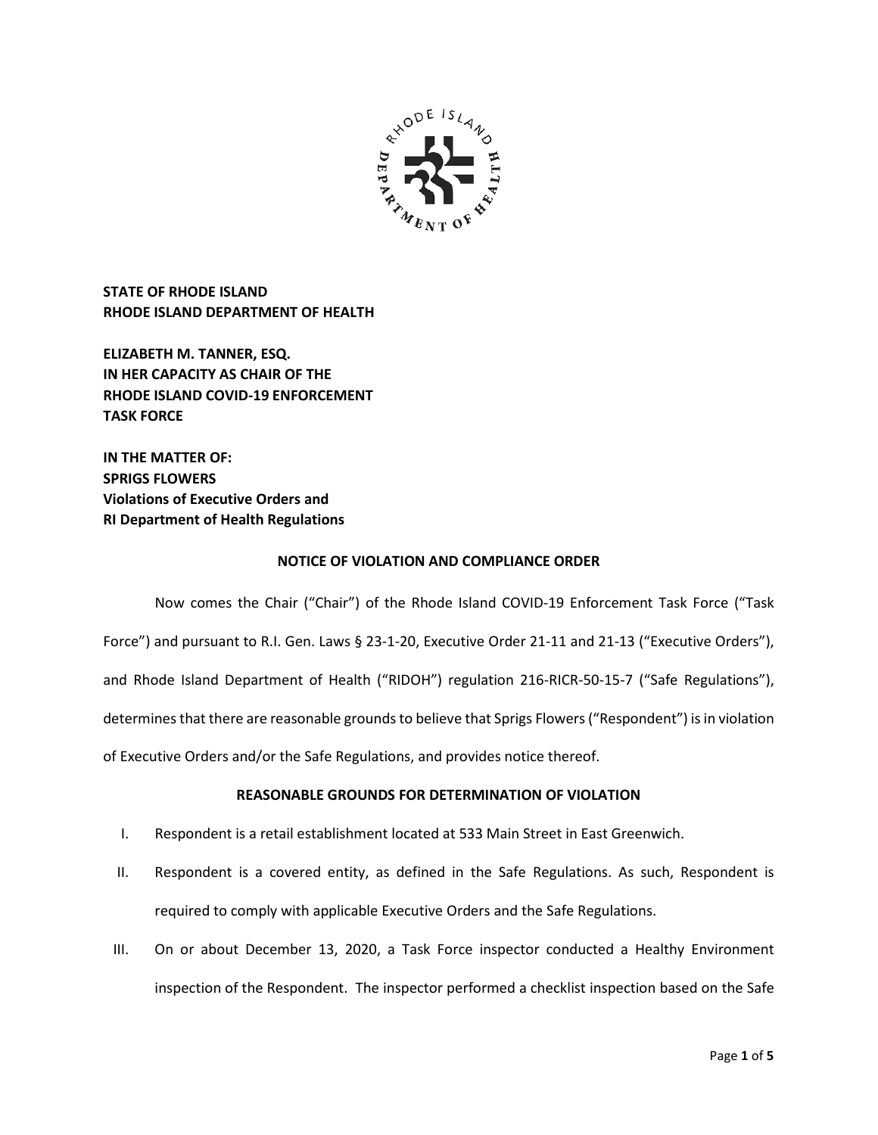

**STATE OF RHODE ISLAND RHODE ISLAND DEPARTMENT OF HEALTH**

**ELIZABETH M. TANNER, ESQ. IN HER CAPACITY AS CHAIR OF THE RHODE ISLAND COVID-19 ENFORCEMENT TASK FORCE** 

**IN THE MATTER OF: SPRIGS FLOWERS Violations of Executive Orders and RI Department of Health Regulations**

## **NOTICE OF VIOLATION AND COMPLIANCE ORDER**

Now comes the Chair ("Chair") of the Rhode Island COVID-19 Enforcement Task Force ("Task Force") and pursuant to R.I. Gen. Laws § 23-1-20, Executive Order 21-11 and 21-13 ("Executive Orders"), and Rhode Island Department of Health ("RIDOH") regulation 216-RICR-50-15-7 ("Safe Regulations"), determines that there are reasonable grounds to believe that Sprigs Flowers("Respondent") is in violation of Executive Orders and/or the Safe Regulations, and provides notice thereof.

# **REASONABLE GROUNDS FOR DETERMINATION OF VIOLATION**

- I. Respondent is a retail establishment located at 533 Main Street in East Greenwich.
- II. Respondent is a covered entity, as defined in the Safe Regulations. As such, Respondent is required to comply with applicable Executive Orders and the Safe Regulations.
- III. On or about December 13, 2020, a Task Force inspector conducted a Healthy Environment inspection of the Respondent. The inspector performed a checklist inspection based on the Safe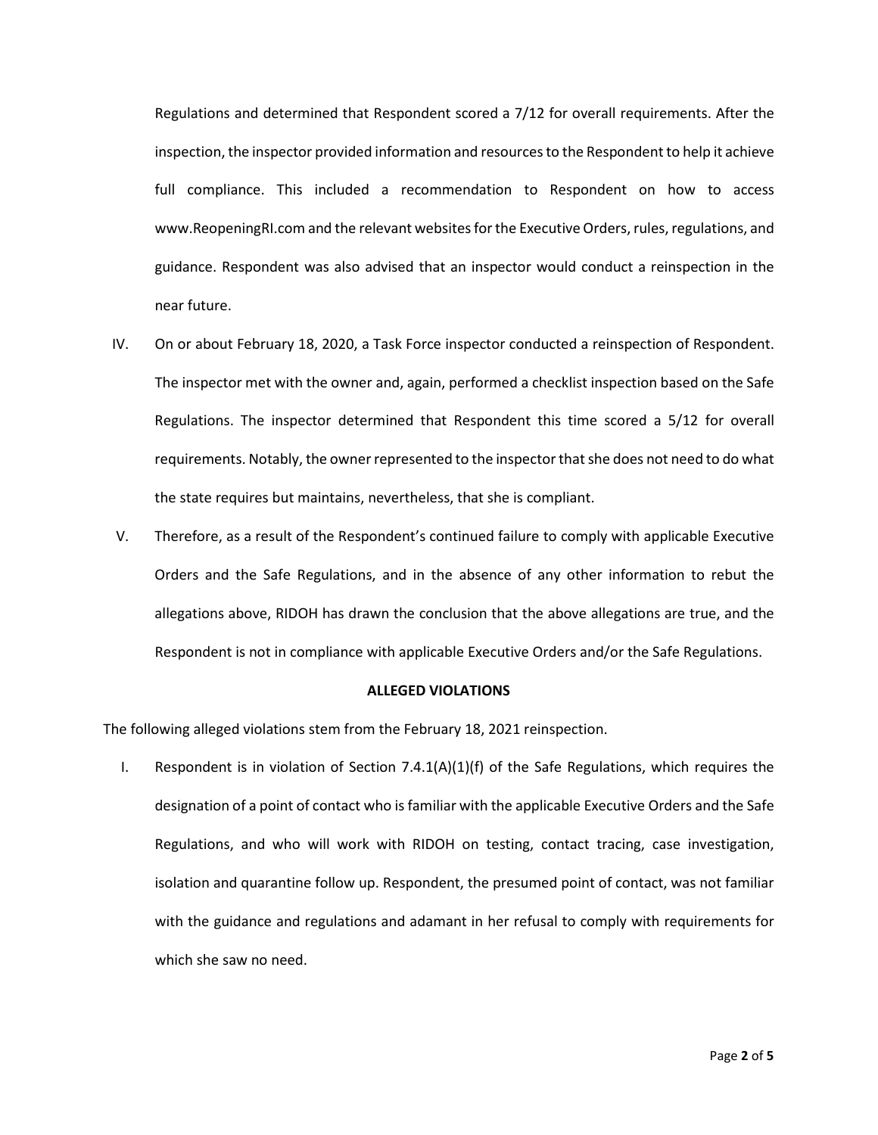Regulations and determined that Respondent scored a 7/12 for overall requirements. After the inspection, the inspector provided information and resources to the Respondent to help it achieve full compliance. This included a recommendation to Respondent on how to access www.ReopeningRI.com and the relevant websites for the Executive Orders, rules, regulations, and guidance. Respondent was also advised that an inspector would conduct a reinspection in the near future.

- IV. On or about February 18, 2020, a Task Force inspector conducted a reinspection of Respondent. The inspector met with the owner and, again, performed a checklist inspection based on the Safe Regulations. The inspector determined that Respondent this time scored a 5/12 for overall requirements. Notably, the owner represented to the inspector that she does not need to do what the state requires but maintains, nevertheless, that she is compliant.
- V. Therefore, as a result of the Respondent's continued failure to comply with applicable Executive Orders and the Safe Regulations, and in the absence of any other information to rebut the allegations above, RIDOH has drawn the conclusion that the above allegations are true, and the Respondent is not in compliance with applicable Executive Orders and/or the Safe Regulations.

#### **ALLEGED VIOLATIONS**

The following alleged violations stem from the February 18, 2021 reinspection.

I. Respondent is in violation of Section  $7.4.1(A)(1)(f)$  of the Safe Regulations, which requires the designation of a point of contact who is familiar with the applicable Executive Orders and the Safe Regulations, and who will work with RIDOH on testing, contact tracing, case investigation, isolation and quarantine follow up. Respondent, the presumed point of contact, was not familiar with the guidance and regulations and adamant in her refusal to comply with requirements for which she saw no need.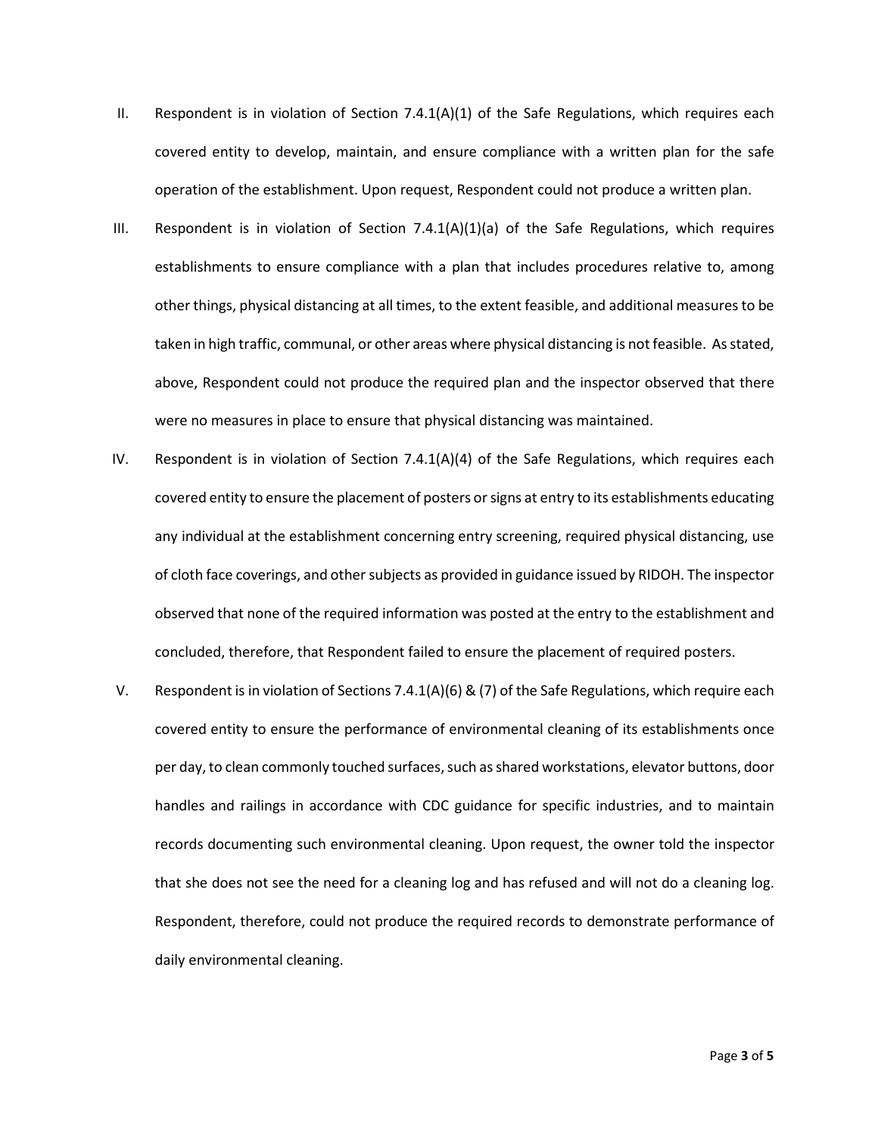- II. Respondent is in violation of Section  $7.4.1(A)(1)$  of the Safe Regulations, which requires each covered entity to develop, maintain, and ensure compliance with a written plan for the safe operation of the establishment. Upon request, Respondent could not produce a written plan.
- III. Respondent is in violation of Section 7.4.1(A)(1)(a) of the Safe Regulations, which requires establishments to ensure compliance with a plan that includes procedures relative to, among other things, physical distancing at all times, to the extent feasible, and additional measures to be taken in high traffic, communal, or other areas where physical distancing is not feasible. As stated, above, Respondent could not produce the required plan and the inspector observed that there were no measures in place to ensure that physical distancing was maintained.
- IV. Respondent is in violation of Section 7.4.1(A)(4) of the Safe Regulations, which requires each covered entity to ensure the placement of posters or signs at entry to its establishments educating any individual at the establishment concerning entry screening, required physical distancing, use of cloth face coverings, and other subjects as provided in guidance issued by RIDOH. The inspector observed that none of the required information was posted at the entry to the establishment and concluded, therefore, that Respondent failed to ensure the placement of required posters.
- V. Respondent is in violation of Sections 7.4.1(A)(6) & (7) of the Safe Regulations, which require each covered entity to ensure the performance of environmental cleaning of its establishments once per day, to clean commonly touched surfaces, such as shared workstations, elevator buttons, door handles and railings in accordance with CDC guidance for specific industries, and to maintain records documenting such environmental cleaning. Upon request, the owner told the inspector that she does not see the need for a cleaning log and has refused and will not do a cleaning log. Respondent, therefore, could not produce the required records to demonstrate performance of daily environmental cleaning.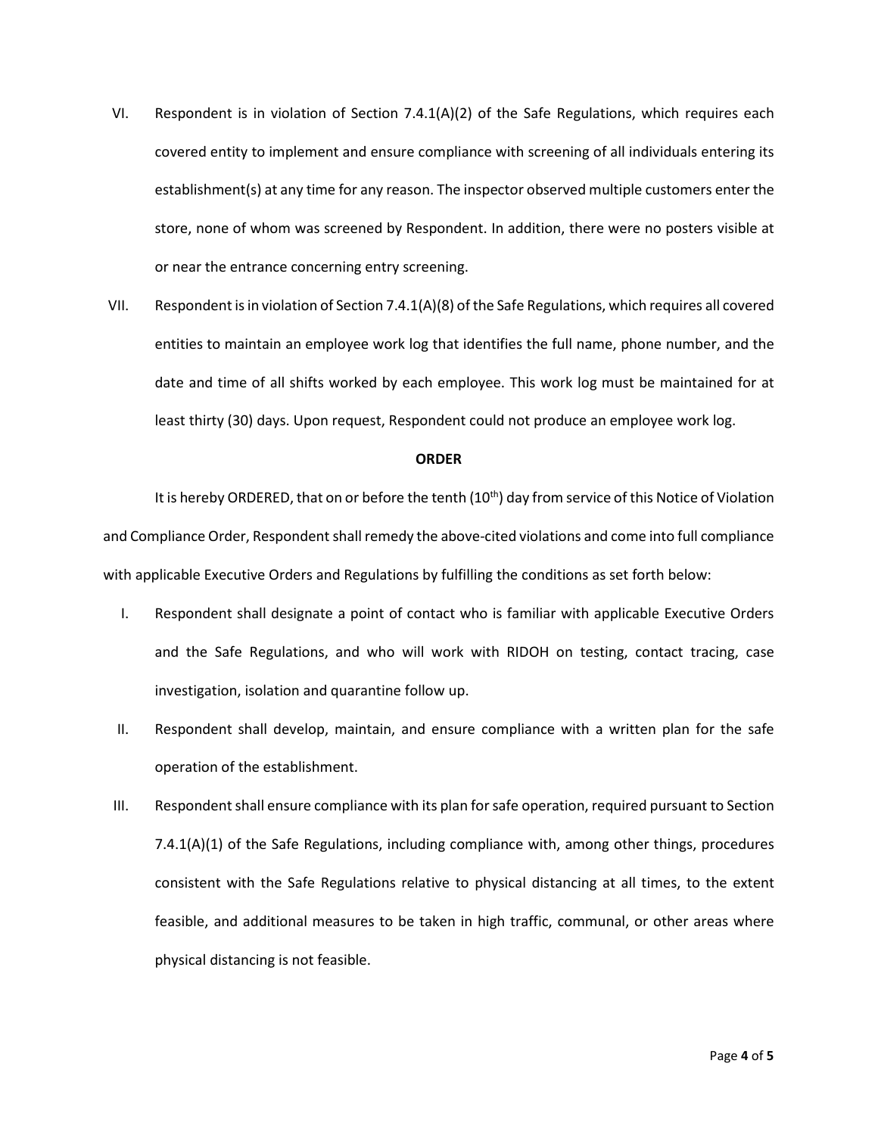- VI. Respondent is in violation of Section 7.4.1(A)(2) of the Safe Regulations, which requires each covered entity to implement and ensure compliance with screening of all individuals entering its establishment(s) at any time for any reason. The inspector observed multiple customers enter the store, none of whom was screened by Respondent. In addition, there were no posters visible at or near the entrance concerning entry screening.
- VII. Respondent is in violation of Section 7.4.1(A)(8) of the Safe Regulations, which requires all covered entities to maintain an employee work log that identifies the full name, phone number, and the date and time of all shifts worked by each employee. This work log must be maintained for at least thirty (30) days. Upon request, Respondent could not produce an employee work log.

#### **ORDER**

It is hereby ORDERED, that on or before the tenth  $(10<sup>th</sup>)$  day from service of this Notice of Violation and Compliance Order, Respondent shall remedy the above-cited violations and come into full compliance with applicable Executive Orders and Regulations by fulfilling the conditions as set forth below:

- I. Respondent shall designate a point of contact who is familiar with applicable Executive Orders and the Safe Regulations, and who will work with RIDOH on testing, contact tracing, case investigation, isolation and quarantine follow up.
- II. Respondent shall develop, maintain, and ensure compliance with a written plan for the safe operation of the establishment.
- III. Respondent shall ensure compliance with its plan for safe operation, required pursuant to Section 7.4.1(A)(1) of the Safe Regulations, including compliance with, among other things, procedures consistent with the Safe Regulations relative to physical distancing at all times, to the extent feasible, and additional measures to be taken in high traffic, communal, or other areas where physical distancing is not feasible.